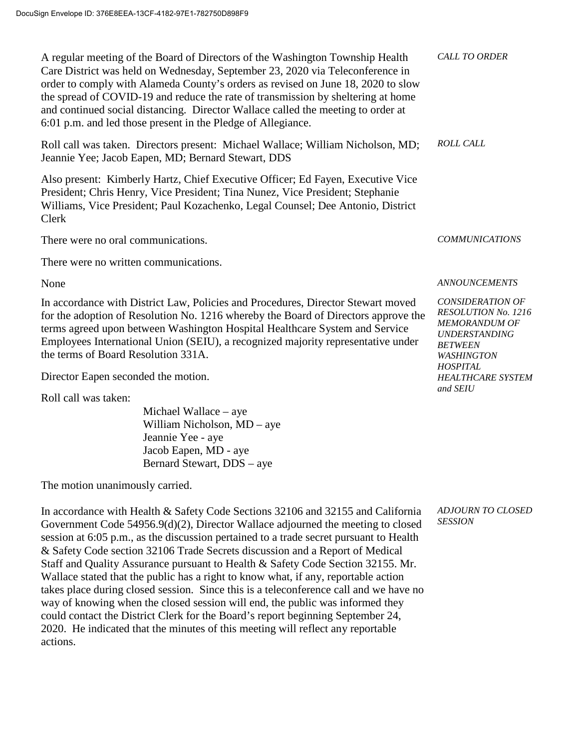A regular meeting of the Board of Directors of the Washington Township Health Care District was held on Wednesday, September 23, 2020 via Teleconference in order to comply with Alameda County's orders as revised on June 18, 2020 to slow the spread of COVID-19 and reduce the rate of transmission by sheltering at home and continued social distancing. Director Wallace called the meeting to order at 6:01 p.m. and led those present in the Pledge of Allegiance. *CALL TO ORDER* Roll call was taken. Directors present: Michael Wallace; William Nicholson, MD; Jeannie Yee; Jacob Eapen, MD; Bernard Stewart, DDS *ROLL CALL* Also present: Kimberly Hartz, Chief Executive Officer; Ed Fayen, Executive Vice President; Chris Henry, Vice President; Tina Nunez, Vice President; Stephanie Williams, Vice President; Paul Kozachenko, Legal Counsel; Dee Antonio, District Clerk There were no oral communications. There were no written communications. *COMMUNICATIONS* None *ANNOUNCEMENTS* In accordance with District Law, Policies and Procedures, Director Stewart moved for the adoption of Resolution No. 1216 whereby the Board of Directors approve the terms agreed upon between Washington Hospital Healthcare System and Service Employees International Union (SEIU), a recognized majority representative under the terms of Board Resolution 331A. Director Eapen seconded the motion. *CONSIDERATION OF MEMORANDUM OF UNDERSTANDING BETWEEN WASHINGTON HOSPITAL and SEIU*

Roll call was taken:

Michael Wallace – aye William Nicholson, MD – aye Jeannie Yee - aye Jacob Eapen, MD - aye Bernard Stewart, DDS – aye

The motion unanimously carried.

In accordance with Health & Safety Code Sections 32106 and 32155 and California Government Code 54956.9(d)(2), Director Wallace adjourned the meeting to closed session at 6:05 p.m., as the discussion pertained to a trade secret pursuant to Health & Safety Code section 32106 Trade Secrets discussion and a Report of Medical Staff and Quality Assurance pursuant to Health & Safety Code Section 32155. Mr. Wallace stated that the public has a right to know what, if any, reportable action takes place during closed session. Since this is a teleconference call and we have no way of knowing when the closed session will end, the public was informed they could contact the District Clerk for the Board's report beginning September 24, 2020. He indicated that the minutes of this meeting will reflect any reportable actions.

*ADJOURN TO CLOSED SESSION*

*RESOLUTION No. 1216 HEALTHCARE SYSTEM*